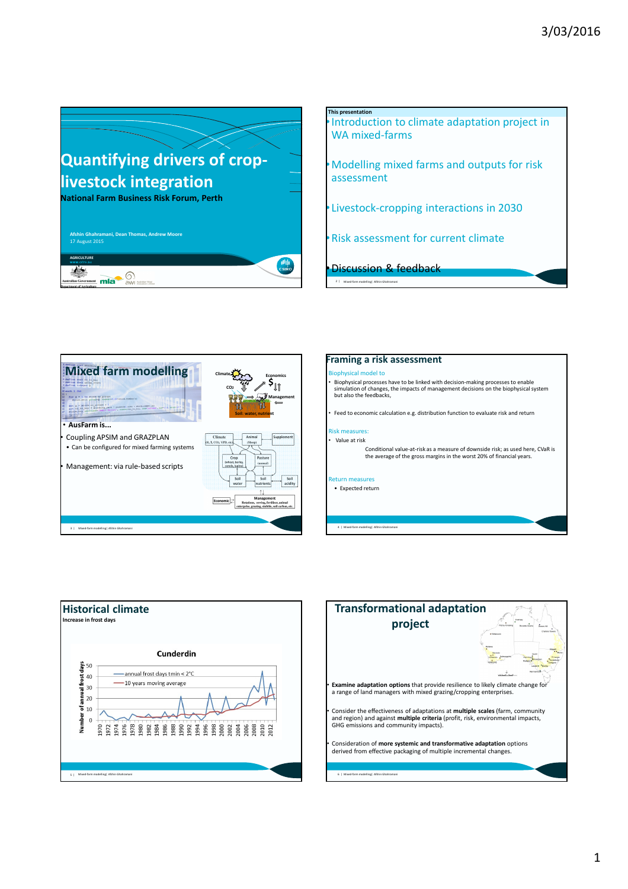





### **Framing a risk assessment**

### Biophysical model to

- Biophysical processes have to be linked with decision-making processes to enable simulation of changes, the impacts of management decisions on the biophysical system but also the feedbacks,
- Feed to economic calculation e.g. distribution function to evaluate risk and return

#### Risk measures: • Value at risk

Conditional value-at-risk as a measure of downside risk; as used here, CVaR is the average of the gross margins in the worst 20% of financial years.

#### Return measures

• Expected return

4 | Mixed-farm modelling| Afshin Ghahramani



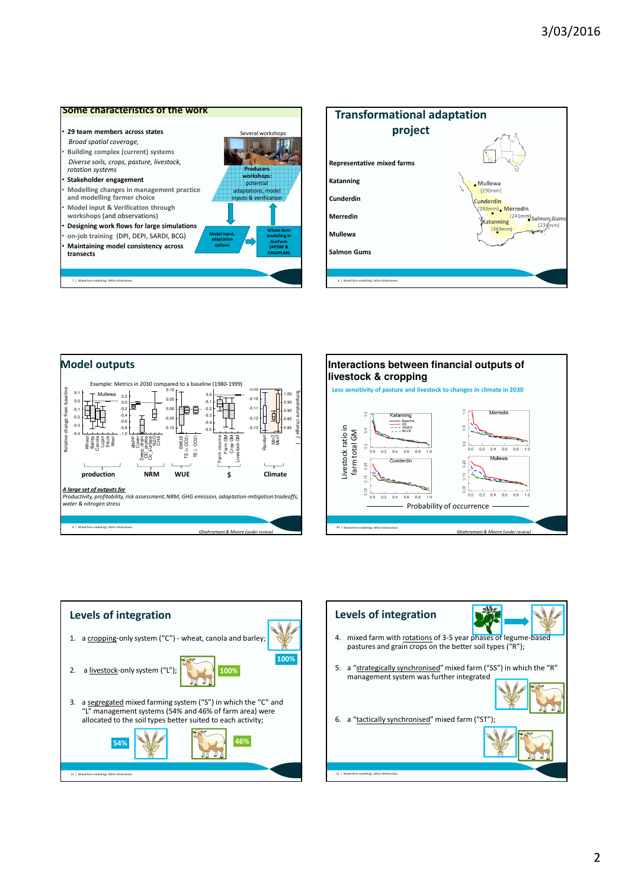